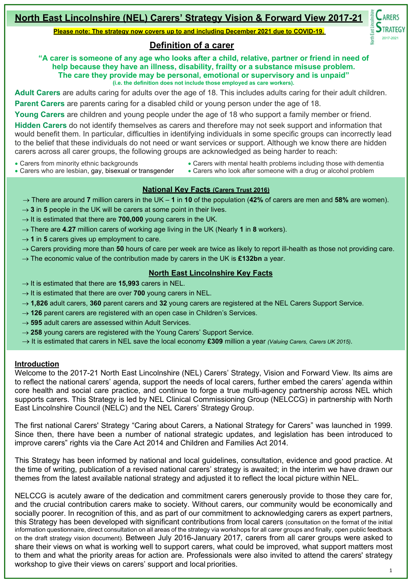# **North East Lincolnshire (NEL) Carers' Strategy Vision & Forward View 2017-21**

**Please note: The strategy now covers up to and including December 2021 due to COVID-19.**

# **Definition of a carer**

**"A carer is someone of any age who looks after a child, relative, partner or friend in need of help because they have an illness, disability, frailty or a substance misuse problem. The care they provide may be personal, emotional or supervisory and is unpaid" (i.e. the definition does not include those employed as care workers).**

**Adult Carers** are adults caring for adults over the age of 18. This includes adults caring for their adult children.

**Parent Carers** are parents caring for a disabled child or young person under the age of 18.

**Young Carers** are children and young people under the age of 18 who support a family member or friend.

**Hidden Carers** do not identify themselves as carers and therefore may not seek support and information that would benefit them. In particular, difficulties in identifying individuals in some specific groups can incorrectly lead to the belief that these individuals do not need or want services or support. Although we know there are hidden carers across all carer groups, the following groups are acknowledged as being harder to reach:

- Carers from minority ethnic backgrounds
- Carers who are lesbian, gay, bisexual or transgender
- Carers with mental health problems including those with dementia
- Carers who look after someone with a drug or alcohol problem

# **National Key Facts (Carers Trust 2016)**

- → There are around **7** million [carers in](https://carers.org/what-carer) the UK **1** in **10** of the population (**42%** of carers are men and **58%** are women).
- $\rightarrow$  **3** in **5** people in the UK will be carers at some point in their lives.
- → It is estimated that there are **700,000** [young carers in](https://carers.org/about-us/about-young-carers) the UK.
- → There are **4.27** million carers of working age living in the UK (Nearly **1** in **8** workers).
- $\rightarrow$  **1** in **5** carers gives up employment to care.
- → Carers providing more than **50** hours of care per week are twice as likely to report ill-health as those not providing care.
- → The economic value of the contribution made by carers in the UK is **£132bn** a year.

# **North East Lincolnshire Key Facts**

- → It is estimated that there are **15,993** carers in NEL.
- $\rightarrow$  It is estimated that there are over **700** young carers in NEL.
- → **1,826** adult carers, **360** parent carers and **32** young carers are registered at the NEL Carers Support Service.
- → 126 parent carers are registered with an open case in Children's Services.
- → **595** adult carers are assessed within Adult Services.
- → 258 young carers are registered with the Young Carers' Support Service.
- → It is estimated that carers in NEL save the local economy **£309** million a year *(Valuing Carers, Carers UK 2015)*.

#### **Introduction**

Welcome to the 2017-21 North East Lincolnshire (NEL) Carers' Strategy, Vision and Forward View. Its aims are to reflect the national carers' agenda, support the needs of local carers, further embed the carers' agenda within core health and social care practice, and continue to forge a true multi-agency partnership across NEL which supports carers. This Strategy is led by NEL Clinical Commissioning Group (NELCCG) in partnership with North East Lincolnshire Council (NELC) and the NEL Carers' Strategy Group.

The first national Carers' Strategy "Caring about Carers, a National Strategy for Carers" was launched in 1999. Since then, there have been a number of national strategic updates, and legislation has been introduced to improve carers" rights via the Care Act 2014 and Children and Families Act 2014.

This Strategy has been informed by national and local guidelines, consultation, evidence and good practice. At the time of writing, publication of a revised national carers' strategy is awaited; in the interim we have drawn our themes from the latest available national strategy and adjusted it to reflect the local picture within NEL.

NELCCG is acutely aware of the dedication and commitment carers generously provide to those they care for, and the crucial contribution carers make to society. Without carers, our community would be economically and socially poorer. In recognition of this, and as part of our commitment to acknowledging carers as expert partners, this Strategy has been developed with significant contributions from local carers (consultation on the format of the initial information questionnaire, direct consultation on all areas of the strategy via workshops for all carer groups and finally, open public feedback on the draft strategy vision document). Between July 2016-January 2017, carers from all carer groups were asked to share their views on what is working well to support carers, what could be improved, what support matters most to them and what the priority areas for action are. Professionals were also invited to attend the carers' strategy workshop to give their views on carers' support and local priorities.

2017-2021

**ARERS STRATEGY**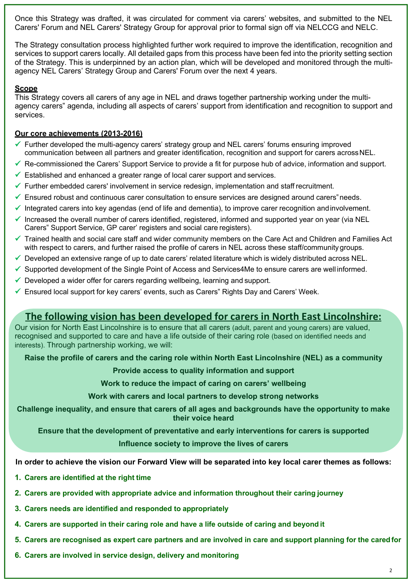Once this Strategy was drafted, it was circulated for comment via carers' websites, and submitted to the NEL Carers' Forum and NEL Carers' Strategy Group for approval prior to formal sign off via NELCCG and NELC.

The Strategy consultation process highlighted further work required to improve the identification, recognition and services to support carers locally. All detailed gaps from this process have been fed into the priority setting section of the Strategy. This is underpinned by an action plan, which will be developed and monitored through the multiagency NEL Carers' Strategy Group and Carers' Forum over the next 4 years.

# **Scope**

This Strategy covers all carers of any age in NEL and draws together partnership working under the multiagency carers" agenda, including all aspects of carers' support from identification and recognition to support and services.

## **Our core achievements (2013-2016)**

- Further developed the multi-agency carers' strategy group and NEL carers' forums ensuring improved communication between all partners and greater identification, recognition and support for carers acrossNEL.
- $\checkmark$  Re-commissioned the Carers' Support Service to provide a fit for purpose hub of advice, information and support.
- $\checkmark$  Established and enhanced a greater range of local carer support and services.
- $\checkmark$  Further embedded carers' involvement in service redesign, implementation and staff recruitment.
- $\checkmark$  Ensured robust and continuous carer consultation to ensure services are designed around carers needs.
- $\checkmark$  Integrated carers into key agendas (end of life and dementia), to improve carer recognition andinvolvement.
- Increased the overall number of carers identified, registered, informed and supported year on year (via NEL Carers" Support Service, GP carer' registers and social care registers).
- $\checkmark$  Trained health and social care staff and wider community members on the Care Act and Children and Families Act with respect to carers, and further raised the profile of carers in NEL across these staff/community groups.
- $\checkmark$  Developed an extensive range of up to date carers' related literature which is widely distributed across NEL.
- $\checkmark$  Supported development of the Single Point of Access and Services4Me to ensure carers are well informed.
- $\checkmark$  Developed a wider offer for carers regarding wellbeing, learning and support.
- $\checkmark$  Ensured local support for key carers' events, such as Carers" Rights Day and Carers' Week.

# **The following vision has been developed for carers in North East Lincolnshire:**

Our vision for North East Lincolnshire is to ensure that all carers (adult, parent and young carers) are valued, recognised and supported to care and have a life outside of their caring role (based on identified needs and interests). Through partnership working, we will:

**Raise the profile of carers and the caring role within North East Lincolnshire (NEL) as a community** 

# **Provide access to quality information and support**

**Work to reduce the impact of caring on carers' wellbeing** 

**Work with carers and local partners to develop strong networks**

**Challenge inequality, and ensure that carers of all ages and backgrounds have the opportunity to make their voice heard**

**Ensure that the development of preventative and early interventions for carers is supported** 

# **Influence society to improve the lives of carers**

**In order to achieve the vision our Forward View will be separated into key local carer themes as follows:**

- **1. Carers are identified at the right time**
- **2. Carers are provided with appropriate advice and information throughout their caring journey**
- **3. Carers needs are identified and responded to appropriately**
- **4. Carers are supported in their caring role and have a life outside of caring and beyond it**
- **5. Carers are recognised as expert care partners and are involved in care and support planning for the caredfor**
- **6. Carers are involved in service design, delivery and monitoring**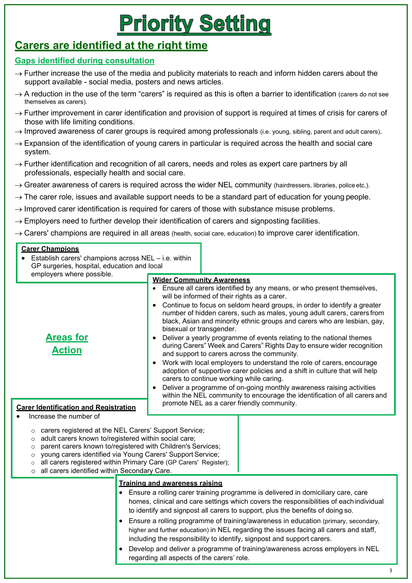# **Priority Setting**

# **Carers are identified at the right time**

# **Gaps identified during consultation**

- $\rightarrow$  Further increase the use of the media and publicity materials to reach and inform hidden carers about the support available - social media, posters and news articles.
- $\rightarrow$  A reduction in the use of the term "carers" is required as this is often a barrier to identification (carers do not see themselves as carers).
- $\rightarrow$  Further improvement in carer identification and provision of support is required at times of crisis for carers of those with life limiting conditions.
- $\rightarrow$  Improved awareness of carer groups is required among professionals (i.e. young, sibling, parent and adult carers).
- $\rightarrow$  Expansion of the identification of young carers in particular is required across the health and social care system.
- $\rightarrow$  Further identification and recognition of all carers, needs and roles as expert care partners by all professionals, especially health and social care.
- $\rightarrow$  Greater awareness of carers is required across the wider NEL community (hairdressers, libraries, police etc.).
- $\rightarrow$  The carer role, issues and available support needs to be a standard part of education for young people.
- $\rightarrow$  Improved carer identification is required for carers of those with substance misuse problems.
- $\rightarrow$  Employers need to further develop their identification of carers and signposting facilities.
- $\rightarrow$  Carers' champions are required in all areas (health, social care, education) to improve carer identification.

#### **Carer Champions** Establish carers' champions across  $NEL - i.e.$  within GP surgeries, hospital, education and local employers where possible. **Areas for Action Carer Identification and Registration** • Increase the number of **Wider Community Awareness** • Ensure all carers identified by any means, or who present themselves, will be informed of their rights as a carer. • Continue to focus on seldom heard groups, in order to identify a greater number of hidden carers, such as males, young adult carers, carers from black, Asian and minority ethnic groups and carers who are lesbian, gay, bisexual or transgender. • Deliver a yearly programme of events relating to the national themes during Carers" Week and Carers" Rights Day to ensure wider recognition and support to carers across the community. • Work with local employers to understand the role of carers, encourage adoption of supportive carer policies and a shift in culture that will help carers to continue working while caring. • Deliver a programme of on-going monthly awareness raising activities within the NEL community to encourage the identification of all carers and promote NEL as a carer friendly community. o carers registered at the NEL Carers' Support Service; o adult carers known to/registered within social care; o parent carers known to/registered with Children's Services;

- o young carers identified via Young Carers' Support Service;
- o all carers registered within Primary Care (GP Carers' Register);
- o all carers identified within Secondary Care.

# **Training and awareness raising**

- Ensure a rolling carer training programme is delivered in domiciliary care, care homes, clinical and care settings which covers the responsibilities of each individual to identify and signpost all carers to support, plus the benefits of doing so.
- Ensure a rolling programme of training/awareness in education (primary, secondary, higher and further education) in NEL regarding the issues facing all carers and staff, including the responsibility to identify, signpost and support carers.
- Develop and deliver a programme of training/awareness across employers in NEL regarding all aspects of the carers' role.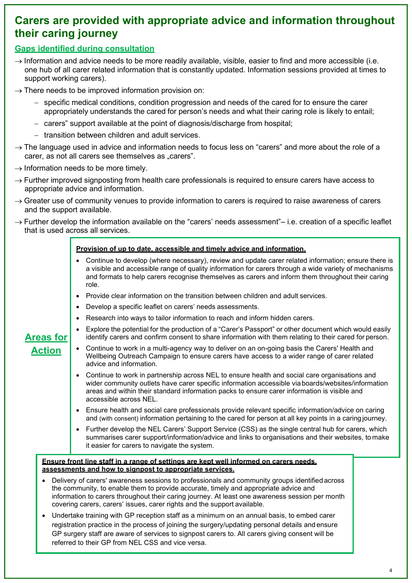# **Carers are provided with appropriate advice and information throughout their caring journey**

# **Gaps identified during consultation**

- $\rightarrow$  Information and advice needs to be more readily available, visible, easier to find and more accessible (i.e. one hub of all carer related information that is constantly updated. Information sessions provided at times to support working carers).
- $\rightarrow$  There needs to be improved information provision on:
	- − specific medical conditions, condition progression and needs of the cared for to ensure the carer appropriately understands the cared for person's needs and what their caring role is likely to entail;
	- − carers" support available at the point of diagnosis/discharge from hospital;
	- − transition between children and adult services.
- $\rightarrow$  The language used in advice and information needs to focus less on "carers" and more about the role of a carer, as not all carers see themselves as "carers".
- $\rightarrow$  Information needs to be more timely.
- $\rightarrow$  Further improved signposting from health care professionals is required to ensure carers have access to appropriate advice and information.
- $\rightarrow$  Greater use of community venues to provide information to carers is required to raise awareness of carers and the support available.
- $\rightarrow$  Further develop the information available on the "carers' needs assessment"– i.e. creation of a specific leaflet that is used across all services.

### **Provision of up to date, accessible and timely advice and information.**

- Continue to develop (where necessary), review and update carer related information; ensure there is a visible and accessible range of quality information for carers through a wide variety of mechanisms and formats to help carers recognise themselves as carers and inform them throughout their caring role.
- Provide clear information on the transition between children and adult services.
- Develop a specific leaflet on carers' needs assessments.
- Research into ways to tailor information to reach and inform hidden carers.
- Explore the potential for the production of a "Carer's Passport" or other document which would easily identify carers and confirm consent to share information with them relating to their cared for person.
- Continue to work in a multi-agency way to deliver on an on-going basis the Carers' Health and Wellbeing Outreach Campaign to ensure carers have access to a wider range of carer related advice and information.
	- Continue to work in partnership across NEL to ensure health and social care organisations and wider community outlets have carer specific information accessible via boards/websites/information areas and within their standard information packs to ensure carer information is visible and accessible across NEL.
	- Ensure health and social care professionals provide relevant specific information/advice on caring and (with consent) information pertaining to the cared for person at all key points in a caring journey.
	- Further develop the NEL Carers' Support Service (CSS) as the single central hub for carers, which summarises carer support/information/advice and links to organisations and their websites, to make it easier for carers to navigate the system.

**Ensure front line staff in a range of settings are kept well informed on carers needs, assessments and how to signpost to appropriate services.**

- Delivery of carers' awareness sessions to professionals and community groups identified across the community, to enable them to provide accurate, timely and appropriate advice and information to carers throughout their caring journey. At least one awareness session per month covering carers, carers' issues, carer rights and the support available.
- Undertake training with GP reception staff as a minimum on an annual basis, to embed carer registration practice in the process of joining the surgery/updating personal details and ensure GP surgery staff are aware of services to signpost carers to. All carers giving consent will be referred to their GP from NEL CSS and vice versa.

# **Areas for Action**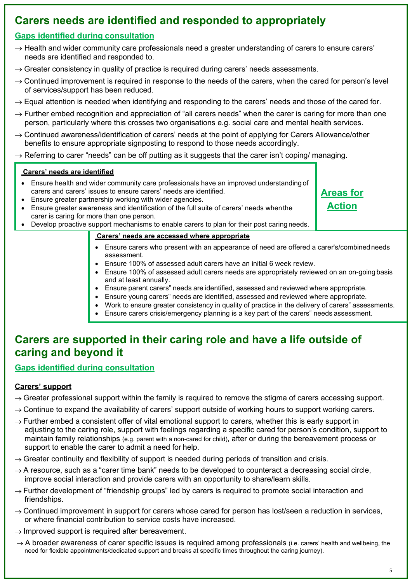# **Carers needs are identified and responded to appropriately**

# **Gaps identified during consultation**

- $\rightarrow$  Health and wider community care professionals need a greater understanding of carers to ensure carers' needs are identified and responded to.
- $\rightarrow$  Greater consistency in quality of practice is required during carers' needs assessments.
- $\rightarrow$  Continued improvement is required in response to the needs of the carers, when the cared for person's level of services/support has been reduced.
- $\rightarrow$  Equal attention is needed when identifying and responding to the carers' needs and those of the cared for.
- $\rightarrow$  Further embed recognition and appreciation of "all carers needs" when the carer is caring for more than one person, particularly where this crosses two organisations e.g. social care and mental health services.
- $\rightarrow$  Continued awareness/identification of carers' needs at the point of applying for Carers Allowance/other benefits to ensure appropriate signposting to respond to those needs accordingly.
- $\rightarrow$  Referring to carer "needs" can be off putting as it suggests that the carer isn't coping/ managing.

# **Carers' needs are identified**

- Ensure health and wider community care professionals have an improved understanding of carers and carers' issues to ensure carers' needs are identified.
- Ensure greater partnership working with wider agencies.
- Ensure greater awareness and identification of the full suite of carers' needs whenthe carer is caring for more than one person.
- Develop proactive support mechanisms to enable carers to plan for their post caring needs.

# **Carers' needs are accessed where appropriate**

- Ensure carers who present with an appearance of need are offered a carer's/combinedneeds assessment.
- Ensure 100% of assessed adult carers have an initial 6 week review.
- Ensure 100% of assessed adult carers needs are appropriately reviewed on an on-going basis and at least annually.
- Ensure parent carers" needs are identified, assessed and reviewed where appropriate.
- Ensure young carers" needs are identified, assessed and reviewed where appropriate.
- Work to ensure greater consistency in quality of practice in the delivery of carers" assessments.
- Ensure carers crisis/emergency planning is a key part of the carers" needs assessment.

# **Carers are supported in their caring role and have a life outside of caring and beyond it**

# **Gaps identified during consultation**

# **Carers' support**

- $\rightarrow$  Greater professional support within the family is required to remove the stigma of carers accessing support.
- $\rightarrow$  Continue to expand the availability of carers' support outside of working hours to support working carers.
- $\rightarrow$  Further embed a consistent offer of vital emotional support to carers, whether this is early support in adjusting to the caring role, support with feelings regarding a specific cared for person's condition, support to maintain family relationships (e.g. parent with a non-cared for child), after or during the bereavement process or support to enable the carer to admit a need for help.
- $\rightarrow$  Greater continuity and flexibility of support is needed during periods of transition and crisis.
- $\rightarrow$  A resource, such as a "carer time bank" needs to be developed to counteract a decreasing social circle, improve social interaction and provide carers with an opportunity to share/learn skills.
- $\rightarrow$  Further development of "friendship groups" led by carers is required to promote social interaction and friendships.
- $\rightarrow$  Continued improvement in support for carers whose cared for person has lost/seen a reduction in services, or where financial contribution to service costs have increased.
- $\rightarrow$  Improved support is required after bereavement.
- $\rightarrow$  A broader awareness of carer specific issues is required among professionals (i.e. carers' health and wellbeing, the need for flexible appointments/dedicated support and breaks at specific times throughout the caring journey).

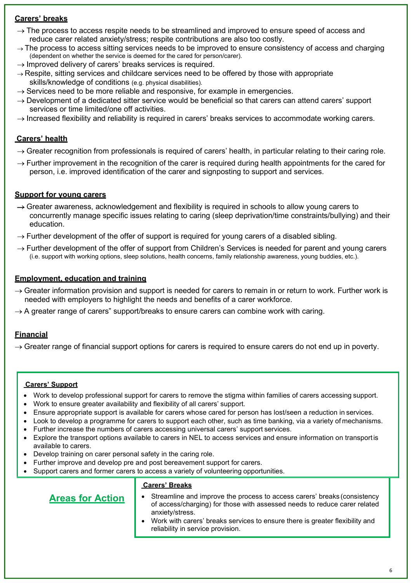# **Carers' breaks**

- $\rightarrow$  The process to access respite needs to be streamlined and improved to ensure speed of access and reduce carer related anxiety/stress; respite contributions are also too costly.
- $\rightarrow$  The process to access sitting services needs to be improved to ensure consistency of access and charging (dependent on whether the service is deemed for the cared for person/carer).
- $\rightarrow$  Improved delivery of carers' breaks services is required.
- $\rightarrow$  Respite, sitting services and childcare services need to be offered by those with appropriate skills/knowledge of conditions (e.g. physical disabilities).
- $\rightarrow$  Services need to be more reliable and responsive, for example in emergencies.
- $\rightarrow$  Development of a dedicated sitter service would be beneficial so that carers can attend carers' support services or time limited/one off activities.
- $\rightarrow$  Increased flexibility and reliability is required in carers' breaks services to accommodate working carers.

# **Carers' health**

- $\rightarrow$  Greater recognition from professionals is required of carers' health, in particular relating to their caring role.
- $\rightarrow$  Further improvement in the recognition of the carer is required during health appointments for the cared for person, i.e. improved identification of the carer and signposting to support and services.

# **Support for young carers**

- $\rightarrow$  Greater awareness, acknowledgement and flexibility is required in schools to allow young carers to concurrently manage specific issues relating to caring (sleep deprivation/time constraints/bullying) and their education.
- $\rightarrow$  Further development of the offer of support is required for young carers of a disabled sibling.
- $\rightarrow$  Further development of the offer of support from Children's Services is needed for parent and young carers (i.e. support with working options, sleep solutions, health concerns, family relationship awareness, young buddies, etc.).

# **Employment, education and training**

- $\rightarrow$  Greater information provision and support is needed for carers to remain in or return to work. Further work is needed with employers to highlight the needs and benefits of a carer workforce.
- $\rightarrow$  A greater range of carers" support/breaks to ensure carers can combine work with caring.

# **Financial**

 $\rightarrow$  Greater range of financial support options for carers is required to ensure carers do not end up in poverty.

# **Carers' Support**

- Work to develop professional support for carers to remove the stigma within families of carers accessing support.
- Work to ensure greater availability and flexibility of all carers' support.
- Ensure appropriate support is available for carers whose cared for person has lost/seen a reduction in services.
- Look to develop a programme for carers to support each other, such as time banking, via a variety of mechanisms.
- Further increase the numbers of carers accessing universal carers' support services.
- Explore the transport options available to carers in NEL to access services and ensure information on transportis available to carers.
- Develop training on carer personal safety in the caring role.
- Further improve and develop pre and post bereavement support for carers.
- Support carers and former carers to access a variety of volunteering opportunities.

## **Carers' Breaks**

- Streamline and improve the process to access carers' breaks (consistency of access/charging) for those with assessed needs to reduce carer related anxiety/stress.
- Work with carers' breaks services to ensure there is greater flexibility and reliability in service provision.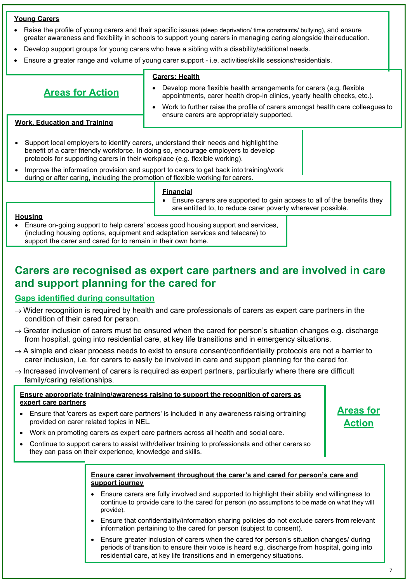#### **Young Carers**

- Raise the profile of young carers and their specific issues (sleep deprivation/ time constraints/ bullying), and ensure greater awareness and flexibility in schools to support young carers in managing caring alongside theireducation.
- Develop support groups for young carers who have a sibling with a disability/additional needs.
- Ensure a greater range and volume of young carer support i.e. activities/skills sessions/residentials.

# **Areas for Action**

- **Carers; Health**
- Develop more flexible health arrangements for carers (e.g. flexible appointments, carer health drop-in clinics, yearly health checks, etc.).
- Work to further raise the profile of carers amongst health care colleagues to ensure carers are appropriately supported.

### **Work, Education and Training**

- Support local employers to identify carers, understand their needs and highlight the benefit of a carer friendly workforce. In doing so, encourage employers to develop protocols for supporting carers in their workplace (e.g. flexible working).
- Improve the information provision and support to carers to get back into training/work during or after caring, including the promotion of flexible working for carers.

#### **Financial**

• Ensure carers are supported to gain access to all of the benefits they are entitled to, to reduce carer poverty wherever possible.

#### **Housing**

• Ensure on-going support to help carers' access good housing support and services, (including housing options, equipment and adaptation services and telecare) to support the carer and cared for to remain in their own home.

# **Carers are recognised as expert care partners and are involved in care and support planning for the cared for**

#### **Gaps identified during consultation**

- $\rightarrow$  Wider recognition is required by health and care professionals of carers as expert care partners in the condition of their cared for person.
- $\rightarrow$  Greater inclusion of carers must be ensured when the cared for person's situation changes e.g. discharge from hospital, going into residential care, at key life transitions and in emergency situations.
- $\rightarrow$  A simple and clear process needs to exist to ensure consent/confidentiality protocols are not a barrier to carer inclusion, i.e. for carers to easily be involved in care and support planning for the cared for.
- $\rightarrow$  Increased involvement of carers is required as expert partners, particularly where there are difficult family/caring relationships.

#### **Ensure appropriate training/awareness raising to support the recognition of carers as expert care partners**

- Ensure that 'carers as expert care partners' is included in any awareness raising ortraining provided on carer related topics in NEL.
- Work on promoting carers as expert care partners across all health and social care.
- Continue to support carers to assist with/deliver training to professionals and other carers so they can pass on their experience, knowledge and skills.

#### **Ensure carer involvement throughout the carer's and cared for person's care and support journey**

- Ensure carers are fully involved and supported to highlight their ability and willingness to continue to provide care to the cared for person (no assumptions to be made on what they will provide).
- Ensure that confidentiality/information sharing policies do not exclude carers fromrelevant information pertaining to the cared for person (subject to consent).
- Ensure greater inclusion of carers when the cared for person's situation changes/ during periods of transition to ensure their voice is heard e.g. discharge from hospital, going into residential care, at key life transitions and in emergency situations.

**Areas for Action**